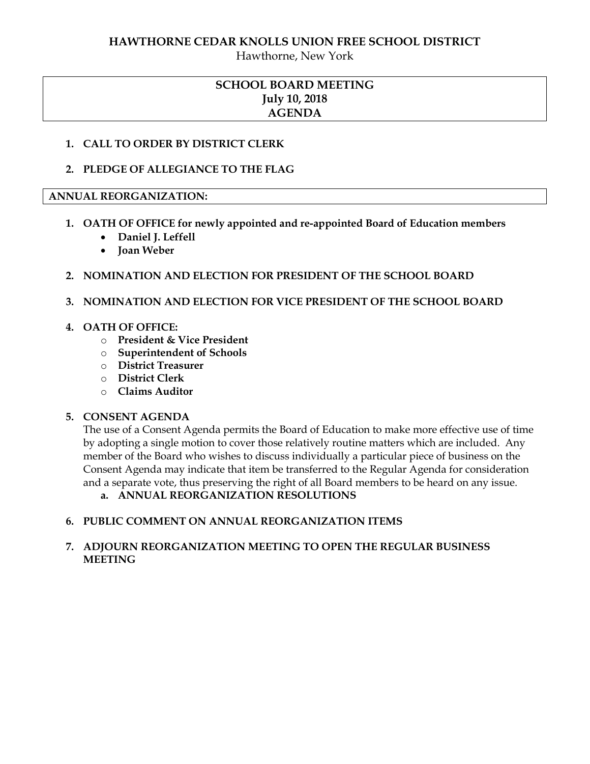Hawthorne, New York

## **SCHOOL BOARD MEETING July 10, 2018 AGENDA**

#### **1. CALL TO ORDER BY DISTRICT CLERK**

## **2. PLEDGE OF ALLEGIANCE TO THE FLAG**

#### **ANNUAL REORGANIZATION:**

- **1. OATH OF OFFICE for newly appointed and re-appointed Board of Education members** 
	- **Daniel J. Leffell**
	- **Joan Weber**

#### **2. NOMINATION AND ELECTION FOR PRESIDENT OF THE SCHOOL BOARD**

#### **3. NOMINATION AND ELECTION FOR VICE PRESIDENT OF THE SCHOOL BOARD**

#### **4. OATH OF OFFICE:**

- o **President & Vice President**
- o **Superintendent of Schools**
- o **District Treasurer**
- o **District Clerk**
- o **Claims Auditor**

#### **5. CONSENT AGENDA**

The use of a Consent Agenda permits the Board of Education to make more effective use of time by adopting a single motion to cover those relatively routine matters which are included. Any member of the Board who wishes to discuss individually a particular piece of business on the Consent Agenda may indicate that item be transferred to the Regular Agenda for consideration and a separate vote, thus preserving the right of all Board members to be heard on any issue.

**a. ANNUAL REORGANIZATION RESOLUTIONS**

## **6. PUBLIC COMMENT ON ANNUAL REORGANIZATION ITEMS**

#### **7. ADJOURN REORGANIZATION MEETING TO OPEN THE REGULAR BUSINESS MEETING**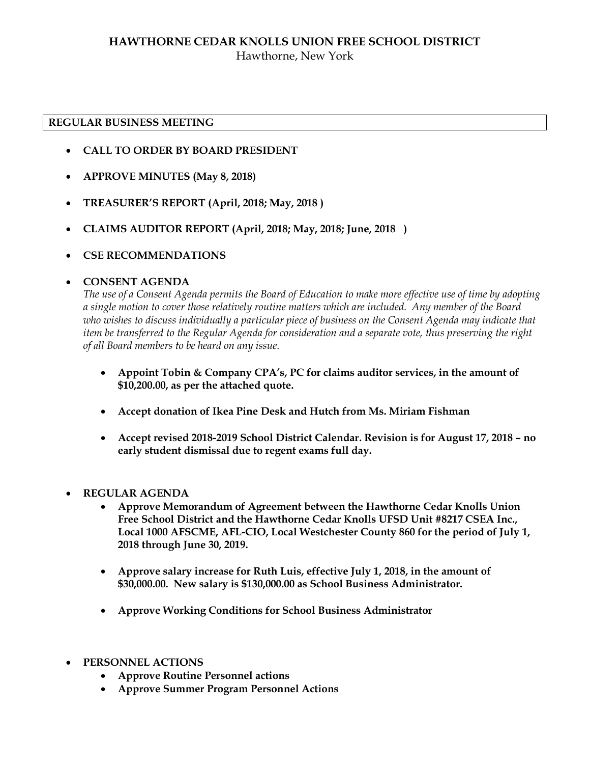## **HAWTHORNE CEDAR KNOLLS UNION FREE SCHOOL DISTRICT** Hawthorne, New York

#### **REGULAR BUSINESS MEETING**

- **CALL TO ORDER BY BOARD PRESIDENT**
- **APPROVE MINUTES (May 8, 2018)**
- **TREASURER'S REPORT (April, 2018; May, 2018 )**
- **CLAIMS AUDITOR REPORT (April, 2018; May, 2018; June, 2018 )**
- **CSE RECOMMENDATIONS**

#### **CONSENT AGENDA**

*The use of a Consent Agenda permits the Board of Education to make more effective use of time by adopting a single motion to cover those relatively routine matters which are included. Any member of the Board who wishes to discuss individually a particular piece of business on the Consent Agenda may indicate that item be transferred to the Regular Agenda for consideration and a separate vote, thus preserving the right of all Board members to be heard on any issue.* 

- **Appoint Tobin & Company CPA's, PC for claims auditor services, in the amount of \$10,200.00, as per the attached quote.**
- **Accept donation of Ikea Pine Desk and Hutch from Ms. Miriam Fishman**
- **Accept revised 2018-2019 School District Calendar. Revision is for August 17, 2018 – no early student dismissal due to regent exams full day.**
- **REGULAR AGENDA** 
	- **Approve Memorandum of Agreement between the Hawthorne Cedar Knolls Union Free School District and the Hawthorne Cedar Knolls UFSD Unit #8217 CSEA Inc., Local 1000 AFSCME, AFL-CIO, Local Westchester County 860 for the period of July 1, 2018 through June 30, 2019.**
	- **Approve salary increase for Ruth Luis, effective July 1, 2018, in the amount of \$30,000.00. New salary is \$130,000.00 as School Business Administrator.**
	- **Approve Working Conditions for School Business Administrator**
- **PERSONNEL ACTIONS**
	- **Approve Routine Personnel actions**
	- **Approve Summer Program Personnel Actions**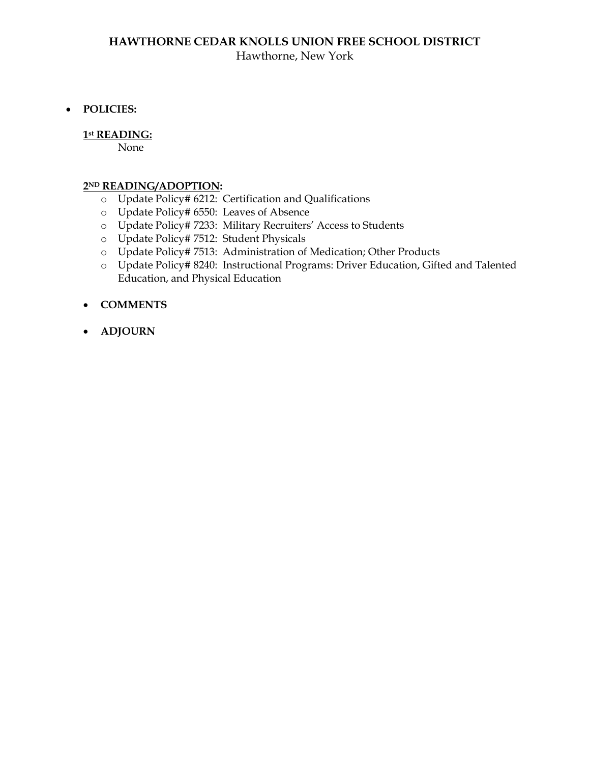## **HAWTHORNE CEDAR KNOLLS UNION FREE SCHOOL DISTRICT** Hawthorne, New York

**POLICIES:** 

#### **1st READING:**

None

#### **2ND READING/ADOPTION:**

- o Update Policy# 6212: Certification and Qualifications
- o Update Policy# 6550: Leaves of Absence
- o Update Policy# 7233: Military Recruiters' Access to Students
- o Update Policy# 7512: Student Physicals
- o Update Policy# 7513: Administration of Medication; Other Products
- o Update Policy# 8240: Instructional Programs: Driver Education, Gifted and Talented Education, and Physical Education
- **COMMENTS**
- **ADJOURN**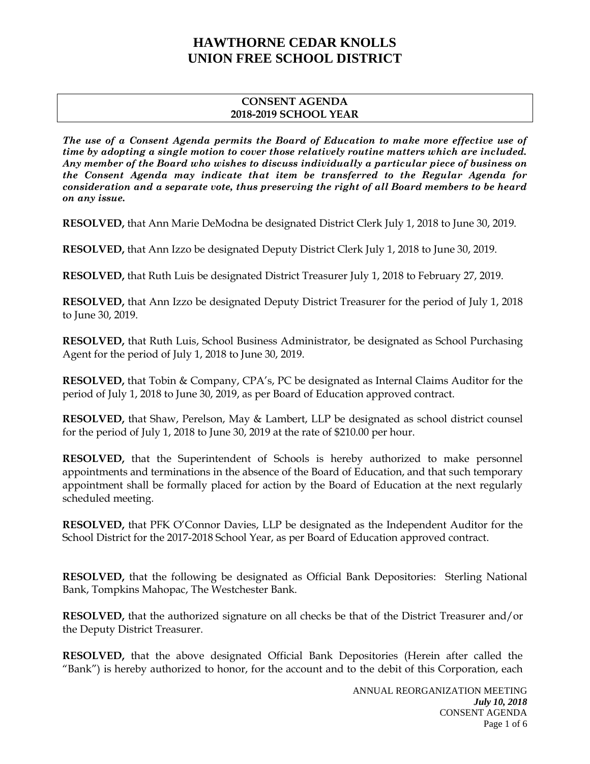#### **CONSENT AGENDA 2018-2019 SCHOOL YEAR**

*The use of a Consent Agenda permits the Board of Education to make more effective use of time by adopting a single motion to cover those relatively routine matters which are included. Any member of the Board who wishes to discuss individually a particular piece of business on the Consent Agenda may indicate that item be transferred to the Regular Agenda for consideration and a separate vote, thus preserving the right of all Board members to be heard on any issue.* 

**RESOLVED,** that Ann Marie DeModna be designated District Clerk July 1, 2018 to June 30, 2019.

**RESOLVED,** that Ann Izzo be designated Deputy District Clerk July 1, 2018 to June 30, 2019.

**RESOLVED,** that Ruth Luis be designated District Treasurer July 1, 2018 to February 27, 2019.

**RESOLVED,** that Ann Izzo be designated Deputy District Treasurer for the period of July 1, 2018 to June 30, 2019.

**RESOLVED,** that Ruth Luis, School Business Administrator, be designated as School Purchasing Agent for the period of July 1, 2018 to June 30, 2019.

**RESOLVED,** that Tobin & Company, CPA's, PC be designated as Internal Claims Auditor for the period of July 1, 2018 to June 30, 2019, as per Board of Education approved contract.

**RESOLVED,** that Shaw, Perelson, May & Lambert, LLP be designated as school district counsel for the period of July 1, 2018 to June 30, 2019 at the rate of \$210.00 per hour.

**RESOLVED,** that the Superintendent of Schools is hereby authorized to make personnel appointments and terminations in the absence of the Board of Education, and that such temporary appointment shall be formally placed for action by the Board of Education at the next regularly scheduled meeting.

**RESOLVED,** that PFK O'Connor Davies, LLP be designated as the Independent Auditor for the School District for the 2017-2018 School Year, as per Board of Education approved contract.

**RESOLVED,** that the following be designated as Official Bank Depositories: Sterling National Bank, Tompkins Mahopac, The Westchester Bank.

**RESOLVED,** that the authorized signature on all checks be that of the District Treasurer and/or the Deputy District Treasurer.

**RESOLVED,** that the above designated Official Bank Depositories (Herein after called the "Bank") is hereby authorized to honor, for the account and to the debit of this Corporation, each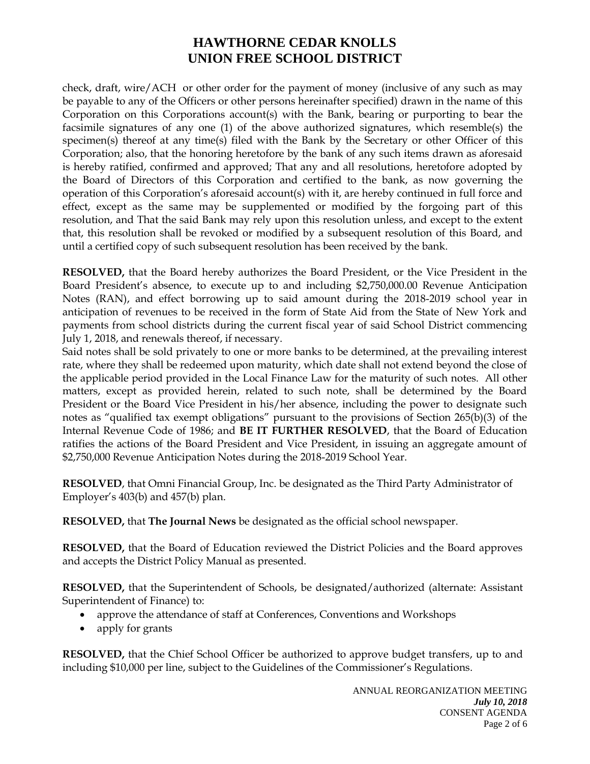check, draft, wire/ACH or other order for the payment of money (inclusive of any such as may be payable to any of the Officers or other persons hereinafter specified) drawn in the name of this Corporation on this Corporations account(s) with the Bank, bearing or purporting to bear the facsimile signatures of any one (1) of the above authorized signatures, which resemble(s) the specimen(s) thereof at any time(s) filed with the Bank by the Secretary or other Officer of this Corporation; also, that the honoring heretofore by the bank of any such items drawn as aforesaid is hereby ratified, confirmed and approved; That any and all resolutions, heretofore adopted by the Board of Directors of this Corporation and certified to the bank, as now governing the operation of this Corporation's aforesaid account(s) with it, are hereby continued in full force and effect, except as the same may be supplemented or modified by the forgoing part of this resolution, and That the said Bank may rely upon this resolution unless, and except to the extent that, this resolution shall be revoked or modified by a subsequent resolution of this Board, and until a certified copy of such subsequent resolution has been received by the bank.

**RESOLVED,** that the Board hereby authorizes the Board President, or the Vice President in the Board President's absence, to execute up to and including \$2,750,000.00 Revenue Anticipation Notes (RAN), and effect borrowing up to said amount during the 2018-2019 school year in anticipation of revenues to be received in the form of State Aid from the State of New York and payments from school districts during the current fiscal year of said School District commencing July 1, 2018, and renewals thereof, if necessary.

Said notes shall be sold privately to one or more banks to be determined, at the prevailing interest rate, where they shall be redeemed upon maturity, which date shall not extend beyond the close of the applicable period provided in the Local Finance Law for the maturity of such notes. All other matters, except as provided herein, related to such note, shall be determined by the Board President or the Board Vice President in his/her absence, including the power to designate such notes as "qualified tax exempt obligations" pursuant to the provisions of Section 265(b)(3) of the Internal Revenue Code of 1986; and **BE IT FURTHER RESOLVED**, that the Board of Education ratifies the actions of the Board President and Vice President, in issuing an aggregate amount of \$2,750,000 Revenue Anticipation Notes during the 2018-2019 School Year.

**RESOLVED**, that Omni Financial Group, Inc. be designated as the Third Party Administrator of Employer's 403(b) and 457(b) plan.

**RESOLVED,** that **The Journal News** be designated as the official school newspaper.

**RESOLVED,** that the Board of Education reviewed the District Policies and the Board approves and accepts the District Policy Manual as presented.

**RESOLVED,** that the Superintendent of Schools, be designated/authorized (alternate: Assistant Superintendent of Finance) to:

- approve the attendance of staff at Conferences, Conventions and Workshops
- apply for grants

**RESOLVED,** that the Chief School Officer be authorized to approve budget transfers, up to and including \$10,000 per line, subject to the Guidelines of the Commissioner's Regulations.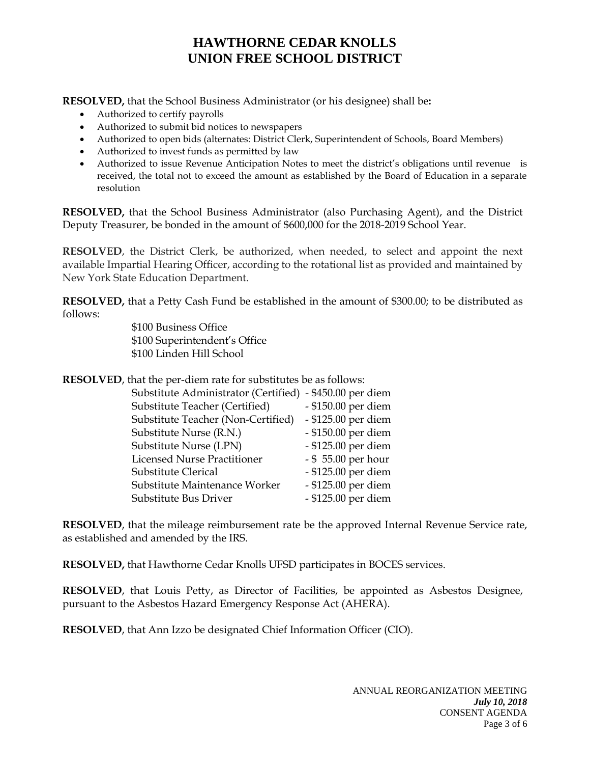**RESOLVED,** that the School Business Administrator (or his designee) shall be**:** 

- Authorized to certify payrolls
- Authorized to submit bid notices to newspapers
- Authorized to open bids (alternates: District Clerk, Superintendent of Schools, Board Members)
- Authorized to invest funds as permitted by law
- Authorized to issue Revenue Anticipation Notes to meet the district's obligations until revenue is received, the total not to exceed the amount as established by the Board of Education in a separate resolution

**RESOLVED,** that the School Business Administrator (also Purchasing Agent), and the District Deputy Treasurer, be bonded in the amount of \$600,000 for the 2018-2019 School Year.

**RESOLVED**, the District Clerk, be authorized, when needed, to select and appoint the next available Impartial Hearing Officer, according to the rotational list as provided and maintained by New York State Education Department.

**RESOLVED,** that a Petty Cash Fund be established in the amount of \$300.00; to be distributed as follows:

> \$100 Business Office \$100 Superintendent's Office \$100 Linden Hill School

**RESOLVED**, that the per-diem rate for substitutes be as follows:

| Substitute Administrator (Certified) - \$450.00 per diem |                     |
|----------------------------------------------------------|---------------------|
| Substitute Teacher (Certified)                           | - \$150.00 per diem |
| Substitute Teacher (Non-Certified)                       | - \$125.00 per diem |
| Substitute Nurse (R.N.)                                  | - \$150.00 per diem |
| Substitute Nurse (LPN)                                   | - \$125.00 per diem |
| <b>Licensed Nurse Practitioner</b>                       | - \$55.00 per hour  |
| Substitute Clerical                                      | - \$125.00 per diem |
| Substitute Maintenance Worker                            | - \$125.00 per diem |
| Substitute Bus Driver                                    | - \$125.00 per diem |

**RESOLVED**, that the mileage reimbursement rate be the approved Internal Revenue Service rate, as established and amended by the IRS.

**RESOLVED,** that Hawthorne Cedar Knolls UFSD participates in BOCES services.

**RESOLVED**, that Louis Petty, as Director of Facilities, be appointed as Asbestos Designee, pursuant to the Asbestos Hazard Emergency Response Act (AHERA).

**RESOLVED**, that Ann Izzo be designated Chief Information Officer (CIO).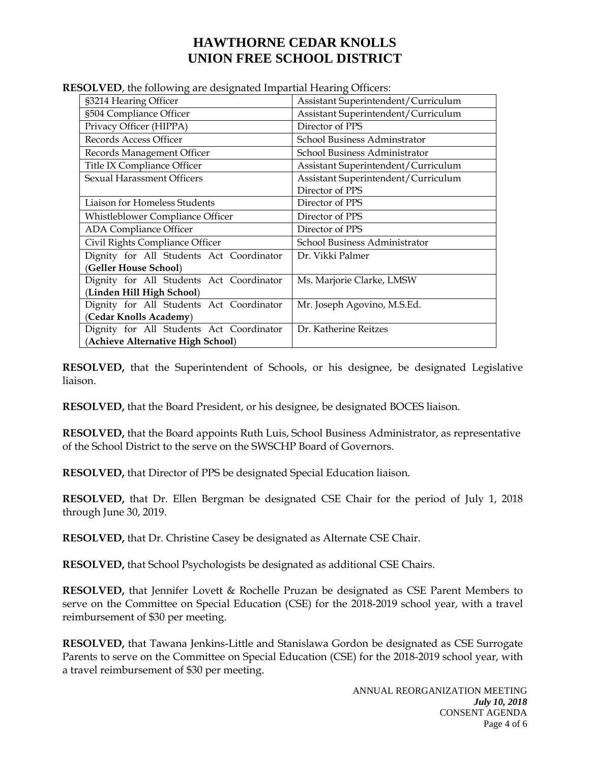| 500 r ED, the following are designated impartial ricaring Officers. |  |
|---------------------------------------------------------------------|--|
| Assistant Superintendent/Curriculum                                 |  |
| Assistant Superintendent/Curriculum                                 |  |
| Director of PPS                                                     |  |
| School Business Adminstrator                                        |  |
| School Business Administrator                                       |  |
| Assistant Superintendent/Curriculum                                 |  |
| Assistant Superintendent/Curriculum<br>Director of PPS              |  |
| Director of PPS                                                     |  |
|                                                                     |  |
| Director of PPS                                                     |  |
| Director of PPS                                                     |  |
| School Business Administrator                                       |  |
| Dr. Vikki Palmer                                                    |  |
|                                                                     |  |
| Ms. Marjorie Clarke, LMSW                                           |  |
|                                                                     |  |
| Mr. Joseph Agovino, M.S.Ed.                                         |  |
| (Cedar Knolls Academy)                                              |  |
| Dr. Katherine Reitzes                                               |  |
|                                                                     |  |
|                                                                     |  |

**RESOLVED**, the following are designated Impartial Hearing Officers:

**RESOLVED,** that the Superintendent of Schools, or his designee, be designated Legislative liaison.

**RESOLVED,** that the Board President, or his designee, be designated BOCES liaison.

**RESOLVED,** that the Board appoints Ruth Luis, School Business Administrator, as representative of the School District to the serve on the SWSCHP Board of Governors.

**RESOLVED,** that Director of PPS be designated Special Education liaison.

**RESOLVED,** that Dr. Ellen Bergman be designated CSE Chair for the period of July 1, 2018 through June 30, 2019.

**RESOLVED,** that Dr. Christine Casey be designated as Alternate CSE Chair.

**RESOLVED,** that School Psychologists be designated as additional CSE Chairs.

**RESOLVED,** that Jennifer Lovett & Rochelle Pruzan be designated as CSE Parent Members to serve on the Committee on Special Education (CSE) for the 2018-2019 school year, with a travel reimbursement of \$30 per meeting.

**RESOLVED,** that Tawana Jenkins-Little and Stanislawa Gordon be designated as CSE Surrogate Parents to serve on the Committee on Special Education (CSE) for the 2018-2019 school year, with a travel reimbursement of \$30 per meeting.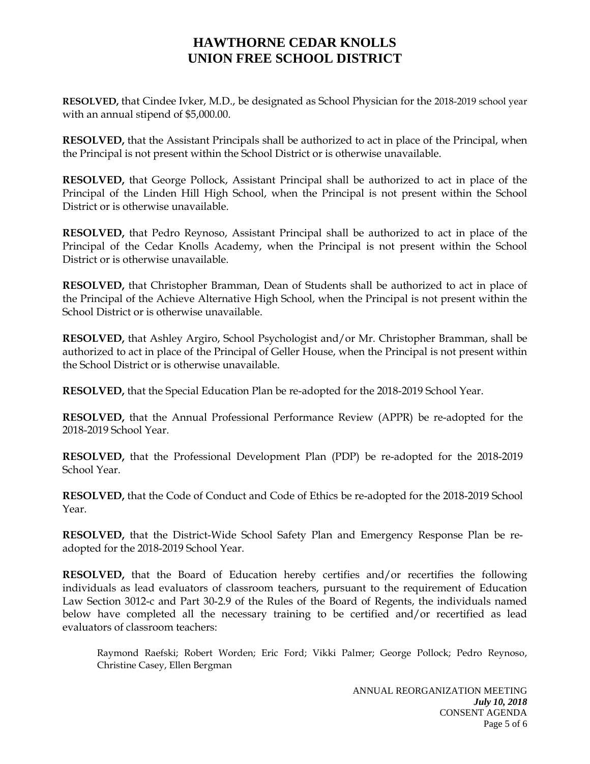**RESOLVED,** that Cindee Ivker, M.D., be designated as School Physician for the 2018-2019 school year with an annual stipend of \$5,000.00.

**RESOLVED,** that the Assistant Principals shall be authorized to act in place of the Principal, when the Principal is not present within the School District or is otherwise unavailable.

**RESOLVED,** that George Pollock, Assistant Principal shall be authorized to act in place of the Principal of the Linden Hill High School, when the Principal is not present within the School District or is otherwise unavailable.

**RESOLVED,** that Pedro Reynoso, Assistant Principal shall be authorized to act in place of the Principal of the Cedar Knolls Academy, when the Principal is not present within the School District or is otherwise unavailable.

**RESOLVED,** that Christopher Bramman, Dean of Students shall be authorized to act in place of the Principal of the Achieve Alternative High School, when the Principal is not present within the School District or is otherwise unavailable.

**RESOLVED,** that Ashley Argiro, School Psychologist and/or Mr. Christopher Bramman, shall be authorized to act in place of the Principal of Geller House, when the Principal is not present within the School District or is otherwise unavailable.

**RESOLVED,** that the Special Education Plan be re-adopted for the 2018-2019 School Year.

**RESOLVED,** that the Annual Professional Performance Review (APPR) be re-adopted for the 2018-2019 School Year.

**RESOLVED,** that the Professional Development Plan (PDP) be re-adopted for the 2018-2019 School Year.

**RESOLVED,** that the Code of Conduct and Code of Ethics be re-adopted for the 2018-2019 School Year.

**RESOLVED,** that the District-Wide School Safety Plan and Emergency Response Plan be readopted for the 2018-2019 School Year.

**RESOLVED,** that the Board of Education hereby certifies and/or recertifies the following individuals as lead evaluators of classroom teachers, pursuant to the requirement of Education Law Section 3012-c and Part 30-2.9 of the Rules of the Board of Regents, the individuals named below have completed all the necessary training to be certified and/or recertified as lead evaluators of classroom teachers:

Raymond Raefski; Robert Worden; Eric Ford; Vikki Palmer; George Pollock; Pedro Reynoso, Christine Casey, Ellen Bergman